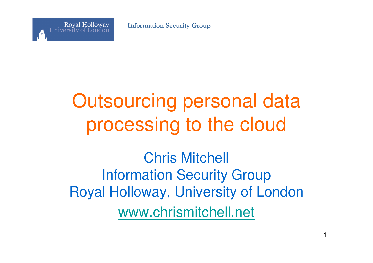**Information Security Group**



### Outsourcing personal data processing to the cloud

Chris MitchellInformation Security Group Royal Holloway, University of Londonwww.chrismitchell.net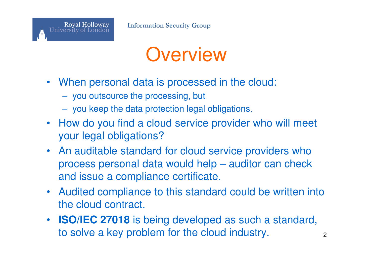

### **Overview**

- When personal data is processed in the cloud:
	- you outsource the processing, but
	- you keep the data protection legal obligations.
- How do you find a cloud service provider who will meet your legal obligations?
- An auditable standard for cloud service providers who process personal data would help – auditor can check and issue a compliance certificate.
- Audited compliance to this standard could be written into the cloud contract.
- **ISO/IEC 27018** is being developed as such a standard, to solve a key problem for the cloud industry. $\sim$  2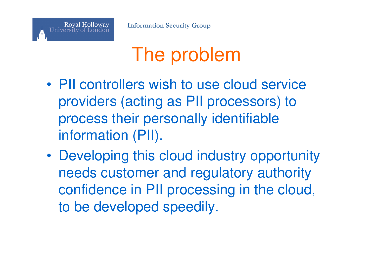# The problem

- • PII controllers wish to use cloud service providers (acting as PII processors) to process their personally identifiable information (PII).
- • Developing this cloud industry opportunity needs customer and regulatory authority confidence in PII processing in the cloud, to be developed speedily.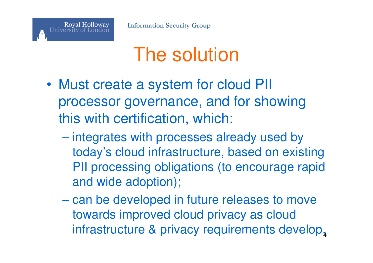### The solution

- • Must create a system for cloud PII processor governance, and for showing this with certification, which:
	- **Hart Committee** - integrates with processes already used by today's cloud infrastructure, based on existing PII processing obligations (to encourage rapid and wide adoption);
	- can be developed in future releases to move towards improved cloud privacy as cloud infrastructure & privacy requirements develop,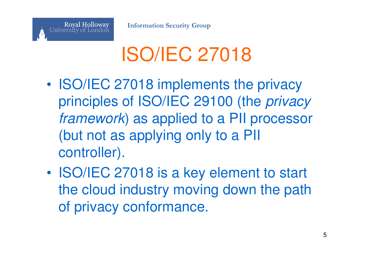**Royal Holloway Information Security Group**

University of London

### ISO/IEC 27018

- • ISO/IEC 27018 implements the privacy principles of ISO/IEC 29100 (the privacy framework) as applied to a PII processor (but not as applying only to a PII controller).
- • ISO/IEC 27018 is a key element to start the cloud industry moving down the path of privacy conformance.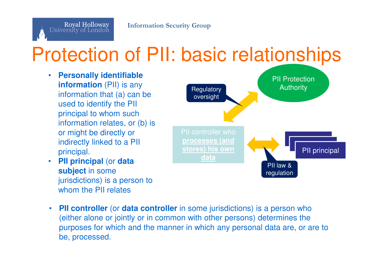# Protection of PII: basic relationships

 $\bullet$  **Personally identifiable information** (PII) is any information that (a) can be used to identify the PII principal to whom such information relates, or (b) is or might be directly or **the controllation of the directly or** and a PII controller who indirectly linked to a PII principal.

Royal Holloway

University of London

 **PII principal** (or **data**  •**subject** in some jurisdictions) is a person to whom the PII relates



•**PII controller** (or **data controller** in some jurisdictions) is a person who (either alone or jointly or in common with other persons) determines the purposes for which and the manner in which any personal data are, or are to be, processed.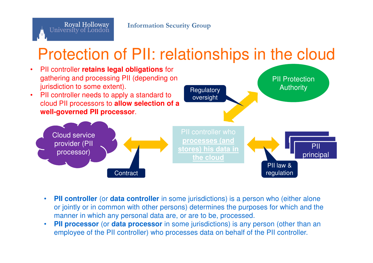

### Protection of PII: relationships in the cloud



- •**PII controller** (or **data controller** in some jurisdictions) is a person who (either alone or jointly or in common with other persons) determines the purposes for which and the manner in which any personal data are, or are to be, processed.
- **PII processor** (or **data processor** in some jurisdictions) is any person (other than an•employee of the PII controller) who processes data on behalf of the PII controller.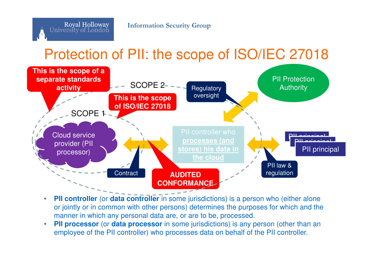#### Protection of PII: the scope of ISO/IEC 27018



- •**PII controller** (or **data controller** in some jurisdictions) is a person who (either alone or jointly or in common with other persons) determines the purposes for which and the manner in which any personal data are, or are to be, processed.
- •**PII processor** (or **data processor** in some jurisdictions) is any person (other than an employee of the PII controller) who processes data on behalf of the PII controller.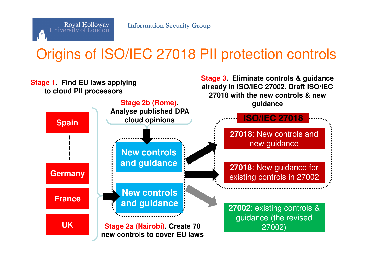

#### Origins of ISO/IEC 27018 PII protection controls

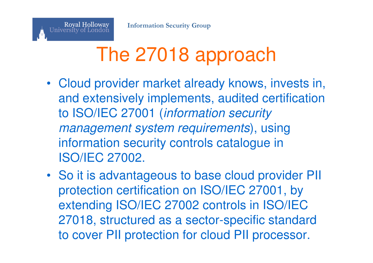

### The 27018 approach

- Cloud provider market already knows, invests in, and extensively implements, audited certification to ISO/IEC 27001 (information security management system requirements), using information security controls catalogue in ISO/IEC 27002.
- So it is advantageous to base cloud provider PII protection certification on ISO/IEC 27001, by extending ISO/IEC 27002 controls in ISO/IEC 27018, structured as a sector-specific standard to cover PII protection for cloud PII processor.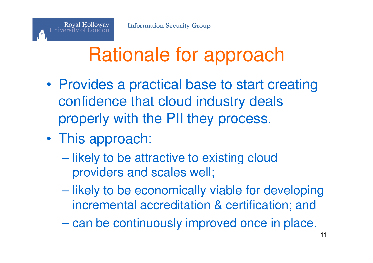

### Rationale for approach

- • Provides a practical base to start creating confidence that cloud industry deals properly with the PII they process.
- •• This approach:
	- likely to be attractive to existing cloud providers and scales well;
	- $\mathcal{L}_{\mathcal{A}}$  , and the set of the set of the set of the set of the set of the set of the set of the set of the set of the set of the set of the set of the set of the set of the set of the set of the set of the set of th likely to be economically viable for developing incremental accreditation & certification; and
	- $\mathcal{L}_{\mathcal{A}}$  , and the set of the set of the set of the set of the set of the set of the set of the set of the set of the set of the set of the set of the set of the set of the set of the set of the set of the set of th can be continuously improved once in place.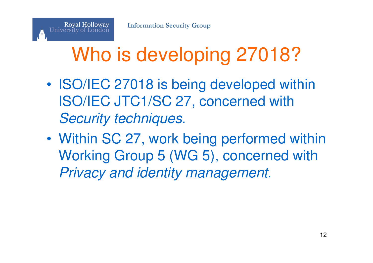Royal Holloway<br>University of London

# Who is developing 27018?

- • ISO/IEC 27018 is being developed within ISO/IEC JTC1/SC 27, concerned with Security techniques.
- • Within SC 27, work being performed within Working Group 5 (WG 5), concerned with Privacy and identity management.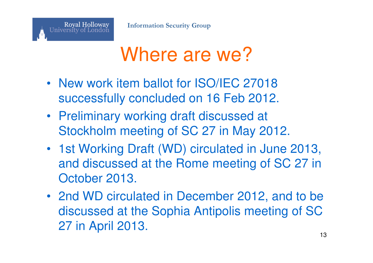**Royal Holloway** 

University of London



- New work item ballot for ISO/IEC 27018 successfully concluded on 16 Feb 2012.
- Preliminary working draft discussed at Stockholm meeting of SC 27 in May 2012.
- 1st Working Draft (WD) circulated in June 2013, and discussed at the Rome meeting of SC 27 in October 2013.
- 2nd WD circulated in December 2012, and to be discussed at the Sophia Antipolis meeting of SC 27 in April 2013.